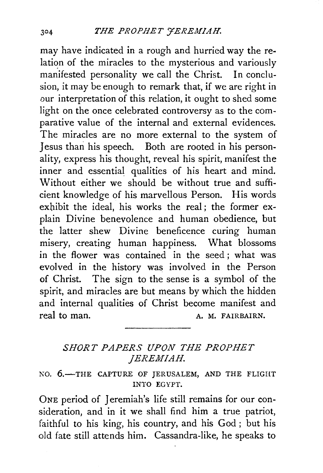may have indicated in a rough and hurried way the relation of the miracles to the mysterious and variously manifested personality we call the Christ. In conclusion, it may be enough to remark that, if we are right in our interpretation of this relation, it ought to shed some light on the once celebrated controversy as to the comparative value of the internal and external evidences. The miracles are no more external to the system of Jesus than his speech. Both are rooted in his personality, express his thought, reveal his spirit, manifest the inner and essential qualities of his heart and mind. Without either we should be without true and sufficient knowledge of his marvellous Person. His words exhibit the ideal, his works the real; the former explain Divine benevolence and human obedience, but the latter shew Divine beneficence curing human misery, creating human happiness. What blossoms in the flower was contained in the seed ; what was evolved in the history was involved in the Person of Christ. The sign to the sense is a symbol of the spirit, and miracles are but means by which the hidden and internal qualities of Christ become manifest and real to man. A. M. FAIRBAIRN.

## *SHORT PAPERS UPON THE PROPHET JEREMIAH.*

NO. 6.-THE CAPTURE OF JERUSALEM, AND THE FLIGHT INTO EGYPT.

ONE period of Jeremiah's life still remains for our consideration, and in it we shall find him a true patriot, faithful to his king, his country, and his God ; but his old fate still attends him. Cassandra-like, he speaks to

 $304$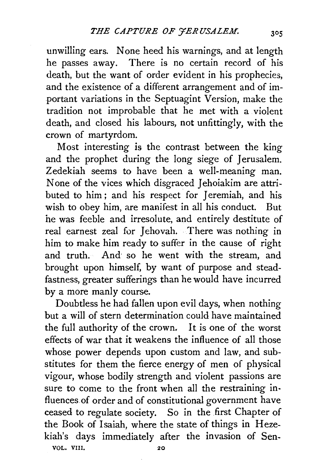unwilling ears. None heed his warnings, and at length he passes away. There is no certain record of his death, but the want of order evident in his prophecies, and the existence of a different arrangement and of important variations in the Septuagint Version, make the tradition not improbable that he met with a violent death, and closed his labours, not unfittingly, with the crown of martyrdom.

Most interesting is the contrast between the king and the prophet during the long siege of Jerusalem. Zedekiah seems to have been a well-meaning man. None of the vices which disgraced Jehoiakim are attributed to him ; and his respect for Jeremiah, and his wish to obey him, are manifest in all his conduct. But he was feeble and irresolute, and entirely destitute of real earnest zeal for Jehovah. There was nothing in him to make him ready to suffer in the cause of right and truth. And· so he went with the stream, and brought upon himself, by want of purpose and steadfastness, greater sufferings than he would have incurred by a more manly course.

Doubtless he had fallen upon evil days, when nothing but a will of stern determination could have maintained the full authority of the crown. It is one of the worst effects of war that it weakens the influence of all those whose power depends upon custom and law, and substitutes for them the fierce energy of men of physical vigour, whose bodily strength and violent passions are sure to come to the front when all the restraining influences.of order and of constitutional government have ceased to regulate society. So in the first Chapter of the Book of Isaiah, where the state of things in Hezekiah's days immediately after the invasion of Sen-VOL. VIII. 20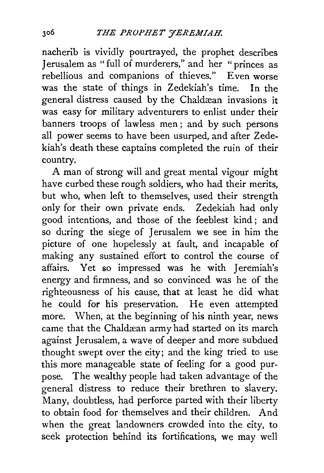nacherib is vividly pourtrayed, the prophet describes Jerusalem as "full of murderers," and her "princes as rebellious and companions of thieves." Even worse was the state of things in Zedekiah's time. In the general distress caused by the Chaldæan invasions it was easy for military adventurers to enlist under their banners troops of lawless men ; and by such persons all power seems to have been usurped, and after Zedekiah's death these captains completed the ruin of their country.

A man of strong will and great mental vigour might have curbed these rough soldiers, who had their merits, but who, when left to themselves, used their strength only for their own private ends. Zedekiah had only good intentions, and those of the feeblest kind ; and so during the siege of Jerusalem we see in him the picture of one hopelessly at fault, and incapable of making any sustained effort to control the course of affairs. Yet so impressed was he with Jeremiah's energy and firmness, and so convinced was he of the righteousness of his cause, that at least he did what he could for his preservation. He even attempted more. When, at the beginning of his ninth year, news came that the Chaldæan army had started on its march against Jerusalem, a wave of deeper and more subdued thought swept over the city; and the king tried to use this more manageable state of feeling for a good purpose. The wealthy people had taken advantage of the general distress to reduce their brethren to slavery. Many, doubtless, had perforce parted with their liberty to obtain food for themselves and their children. And when the great landowners crowded into the city, to seek protection behind its fortifications, we may well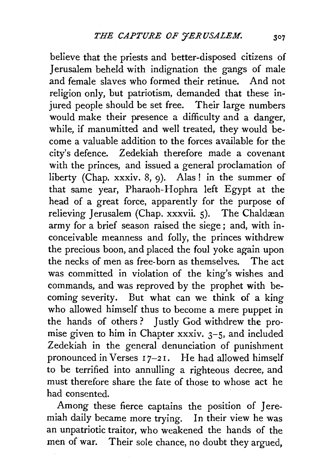believe that the priests and better-disposed citizens of Jerusalem beheld with indignation the gangs of male and female slaves who formed their retinue. And not religion only, but patriotism, demanded that these injured people should be set free. Their large numbers would make their presence a difficulty and a danger, while, if manumitted and well treated, they would become a valuable addition to the forces available for the city's defence. Zedekiah therefore made a covenant with the princes, and issued a general proclamation of liberty (Chap. xxxiv. 8, 9). Alas! in the summer of that same year, Pharaoh-Hophra left Egypt at the head of a great force, apparently for the purpose of relieving Jerusalem (Chap. xxxvii. 5). The Chaldæan army for a brief season raised the siege; and, with inconceivable meanness and folly, the princes withdrew the precious boon, and placed the foul yoke again upon the necks of men as free-born as themselves. The act was committed in violation of the king's wishes and commands, and was reproved by the prophet with becoming severity. But what can we think of a king who allowed himself thus to become a mere puppet in the hands of others ? Justly God withdrew the promise given to him in Chapter xxxiv.  $3-5$ , and included Zedekiah in the general denunciation of punishment pronounced in Verses 17-21. He had allowed himself to be terrified into annulling a righteous decree, and must therefore share the fate of those to whose act he had consented.

Among these fierce captains the position of Jeremiah daily became more trying. In their view he was an unpatriotic traitor, who weakened the hands of the men of war. Their sole chance, no doubt they argued,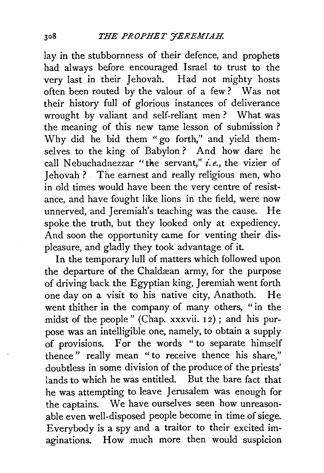lay in the stubbornness of their defence, and prophets had always before encouraged Israel to trust to the very last in their Jehovah. Had not mighty hosts often been routed by the valour of a few ? Was not their history full of glorious instances of deliverance wrought by valiant and self-reliant men ? What was the meaning of this new tame lesson of submission ? Why did he bid them "go forth," and yield themselves to the king of Babylon ? And how dare he call Nebuchadnezzar "the servant," *i.e.,* the vizier of Jehovah ? The earnest and really religious men, who in old times would have been the very centre of resistance, and have fought like lions in the field, were now unnerved, and Jeremiah's teaching was the cause. He spoke the truth, but they looked only at expediency. And soon the opportunity came for venting their displeasure, and gladly they took advantage of it.

In the temporary lull of matters which followed upon the departure of the Chaldæan army, for the purpose of driving back the Egyptian king, Jeremiah went forth one day on a visit to his native city, Anathoth. He went thither in the company of many others, "in the midst of the people" (Chap. xxxvii. 12); and his purpose was an intelligible one, namely, to obtain a supply of provisions. For the words " to separate himself thence" really mean "to receive thence his share," doubtless in some division of the produce of the priests' lands to which he was entitled. But the bare fact that he was attempting to leave Jerusalem was enough for the captains. We have ourselves seen how unreasonable even well-disposed people become in time of siege. Everybody is a spy and a traitor to their excited imaginations. How much more then would suspicion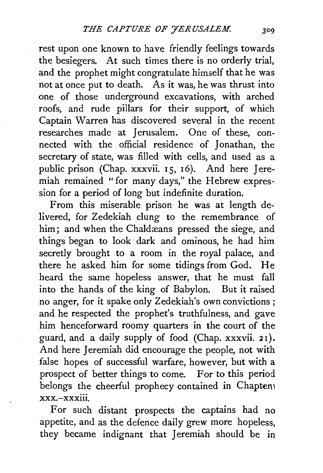rest upon one known to have friendly feelings towards the besiegers. At such times there is no orderly trial, and the prophet might congratulate himself that he was not at once put to death. As it was, he was thrust into one of those underground excavations, with arched roofs, and rude pillars for their support, of which Captain Warren has discovered several in the recent researches made at Jerusalem. One of these, connected with the official residence of Jonathan, the secretary of state, was filled with cells, and used as a public prison (Chap. xxxvii. 15, 16). And here Jeremiah remained "for many days," the Hebrew expression for a period of long but indefinite duration.

From this miserable prison he was at length delivered, for Zedekiah clung to the remembrance of him; and when the Chaldæans pressed the siege, and things began to look · dark and ominous, he had him secretly brought to a room in the royal palace, and there he asked him for some tidings from God. He heard the same hopeless answer, that he must fall into the hands of the king of Babylon. But it raised no anger, for it spake only Zedekiah's own convictions ; and he respected the prophet's truthfulness, and gave him henceforward roomy quarters in the court of the guard, and a daily supply of food (Chap. xxxvii. 2 1). And here Jeremiah did encourage the people, not with false hopes of successful warfare, however, but with a prospect of better things to come. For to this period belongs the cheerful prophecy contained in Chapten;  $xxx - xxx$ iii

For such distant prospects the captains had no appetite, and as the defence daily grew more hopeless, they became indignant that Jeremiah should be in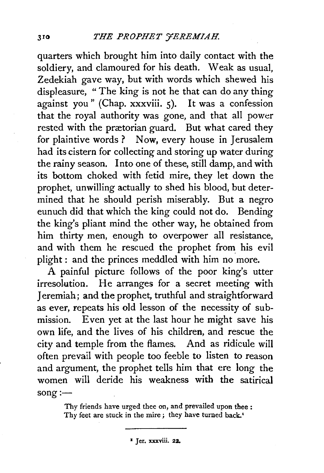quarters which brought him into daily contact with the soldiery, and clamoured for his death. Weak as usual, Zedekiah gave way, but with words which shewed his displeasure, " The king is not he that can do any thing against you" (Chap. xxxviii. 5). It was a confession that the royal authority was gone, and that all power rested with the prætorian guard. But what cared they for plaintive words? Now, every house in Jerusalem had its cistern for collecting and storing up water during the rainy season. Into one of these, still damp, and with its bottom choked with fetid mire, they let down the prophet, unwilling actually to shed his blood, but determined that he should perish miserably. But a negro eunuch did that which the king could not do. Bending the king's pliant mind the other way, he obtained from him thirty men, enough to overpower all resistance, and with them he rescued the prophet from his evil plight : and the princes meddled with him no more.

A painful picture follows of the poor king's utter irresolution. He arranges for a secret meeting with Jeremiah; and the prophet, truthful and straightforward as ever, repeats his old lesson of the necessity of submission. Even yet at the last hour he might save his own life, and the lives of his children, and rescue the city and temple from the flames. And as ridicule will often prevail with people too feeble to listen to reason and argument, the prophet tells him that ere long the women will deride his weakness with the satirical  $song:$ 

> Thy friends have urged thee on, and prevailed upon thee : Thy feet are stuck in the mire; they have turned back.<sup>1</sup>

> > <sup>2</sup> Jer. xxxviii. 22.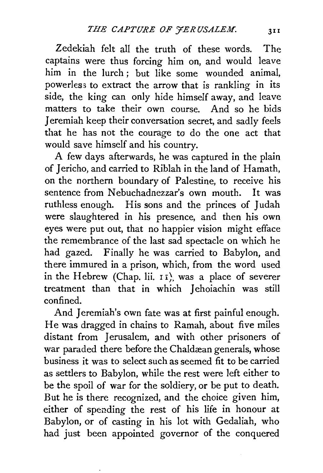Zedekiah felt all the truth of these words. The captains were thus forcing him on, and would leave him in the lurch ; but like some wounded animal, powerless to extract the arrow that is rankling in its side, the king can only hide himself away, and leave matters to take their own course. And so he bids Jeremiah keep their conversation secret, and sadly feels that he has not the courage to do the one act that would save himself and his country.

A few days afterwards, he was captured in the plain of Jericho, and carried to Riblah in the land of Hamath, on the northern boundary of Palestine, to receive his sentence from Nebuchadnezzar's own mouth. It was ruthless enough. His sons and the princes of Judah were slaughtered in his presence, and then his own eyes were put out, that no happier vision might efface the remembrance of the last sad spectacle on which he had gazed. Finally he was carried to Babylon, and there immured in a prison, which, from the word used in the Hebrew (Chap. lii. 11), was a place of severer treatment than that in which Jehoiachin was still confined.

And Jeremiah's own fate was at first painful enough. He was dragged in chains to Ramah, about five miles distant from Jerusalem, and with other prisoners of war paraded there before the Chaldæan generals, whose business it was to select such as seemed fit to be carried as settlers to Babylon, while the rest were left either to be the spoil of war for the soldiery, or be put to death. But he is there recognized, and the choice given him, either of spending the rest of his life in honour at Babylon, or of casting in his lot with Gedaliah, who had just been appointed governor of the conquered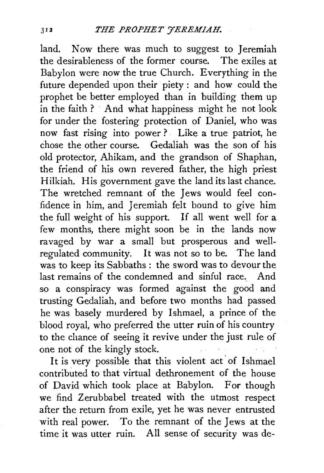land. Now there was much to suggest to Jeremiah the desirableness of the former course. The exiles at Babylon were now the true Church. Everything in the future depended upon their piety : and how could the prophet be better employed than in building them up in the faith ? And what happiness might he not look for under the fostering protection of Daniel, who was now fast rising into power ? Like a true patriot, he chose the other course. Gedaliah was the son of his old protector, Ahikam, and the grandson of Shaphan, the friend of his own revered father, the high priest Hilkiah. His government gave the land its last chance. The wretched remnant of the Jews would feel confidence in him, and Jeremiah felt bound to give him the full weight of his support. If all went well for a few months, there might soon be in the lands now ravaged by war a small but prosperous and wellregulated community. It was not so to be. The land was to keep its Sabbaths : the sword was to devour the last remains of the condemned and sinful race. And so a conspiracy was formed against the good and trusting Gedaliah, and before two months had passed he was basely murdered by Ishmael, a prince of the blood royal, who preferred the utter ruin of his country to the chance of seeing it revive under the just rule of one not of the kingly stock.

It is very possible that this violent act of Ishmael contributed to that virtual dethronement of the house of David which took place at Babylon. For though we find Zerubbabel treated with the utmost respect after the return from exile, yet he was never entrusted with real power. To the remnant of the Jews at the time it was utter ruin. All sense of security was de-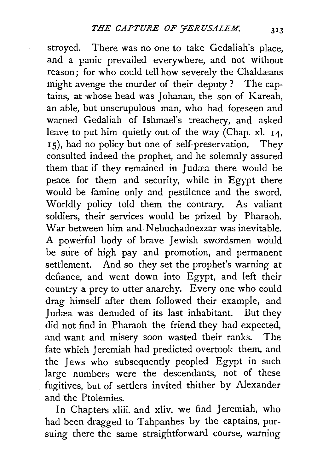stroyed. There was no one to take Gedaliah's place, and a panic prevailed everywhere, and not without reason: for who could tell how severely the Chaldæans might avenge the murder of their deputy ? The captains, at whose head was Johanan, the son of Kareah, an able, but unscrupulous man, who had foreseen and warned Gedaliah of Ishmael's treachery, and asked leave to put him quietly out of the way (Chap. xl.  $14$ , 1 5), had no policy but one of self-preservation. They consulted indeed the prophet, and he solemnly assured them that if they remained in Judæa there would be peace for them and security, while in Egypt there would be famine only and pestilence and the sword. Worldly policy told them the contrary. As valiant soldiers, their services would be prized by Pharaoh. War between him and Nebuchadnezzar was inevitable. A powerful body of brave Jewish swordsmen would be sure of high pay and promotion, and permanent settlement. And so they set the prophet's warning at defiance, and went down into Egypt, and left their country a prey to utter anarchy. Every one who could drag himself after them followed their example, and Judæa was denuded of its last inhabitant. But they did not find in Pharaoh the friend they had expected, and want and misery soon wasted their ranks. The fate which Jeremiah had predicted overtook them, and the Jews who subsequently peopled Egypt in such large numbers were the descendants, not of these fugitives, but of settlers invited thither by Alexander and the Ptolemies.

In Chapters xliii. and xliv. we find Jeremiah, who had been dragged to Tahpanhes by the captains, pursuing there the same straightforward course, warning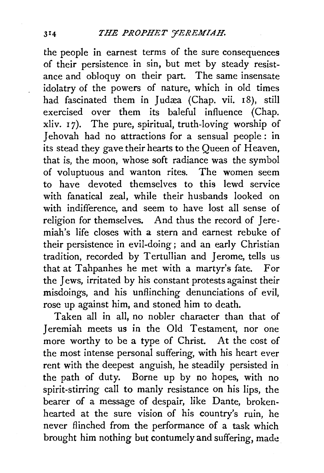the people in earnest terms of the sure consequences of their persistence. in sin, but met by steady resistance and obloquy on their part. The same insensate idolatry of the powers of nature, which in old times had fascinated them in Judæa (Chap. vii. 18), still exercised over them its baleful influence (Chap. xliv. 1 7). The pure, spiritual, truth-loving worship of Jehovah had no attractions for a sensual people: in its stead they gave their hearts to the Queen of Heaven, that is, the moon, whose soft radiance was the symbol of voluptuous and wanton rites. The women seem to have devoted themselves to this lewd service with fanatical zeal, while their husbands looked on with indifference, and seem *to* have lost all sense of religion for themselves. And thus the record of Jeremiah's life closes with a stern and earnest rebuke of their persistence in evil-doing; and an early Christian tradition, recorded by Tertullian and Jerome, tells us that at Tahpanhes he met with a martyr's fate. For the Jews, irritated by his constant protests against their misdoings, and his unflinching denunciations of evil, rose up against him, and stoned him to death.

Taken all in all, no nobler character than that of Jeremiah meets us in the Old Testament, nor one more worthy to be a type of Christ. At the cost of the most intense personal suffering, with his heart ever rent with the deepest anguish, he steadily persisted in the path of duty. Borne up by no hopes, with no spirit-stirring call to manly resistance on his lips, the bearer of a message of despair, like Dante, brokenhearted at the sure vision of his country's ruin, he never flinched from the performance of a task which brought him nothing but contumely and suffering, made